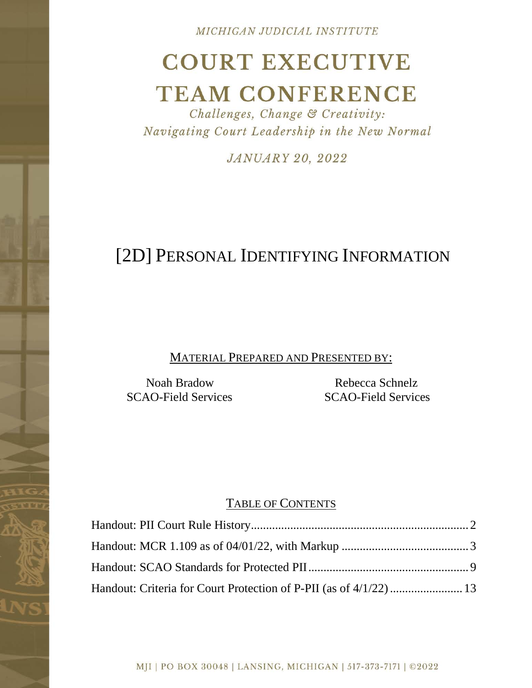MICHIGAN JUDICIAL INSTITUTE

# **COURT EXECUTIVE TEAM CONFERENCE**

Challenges, Change & Creativity: Navigating Court Leadership in the New Normal

**JANUARY 20, 2022** 

# [2D] PERSONAL IDENTIFYING INFORMATION

MATERIAL PREPARED AND PRESENTED BY:

Noah Bradow SCAO-Field Services

Rebecca Schnelz SCAO-Field Services

## TABLE OF CONTENTS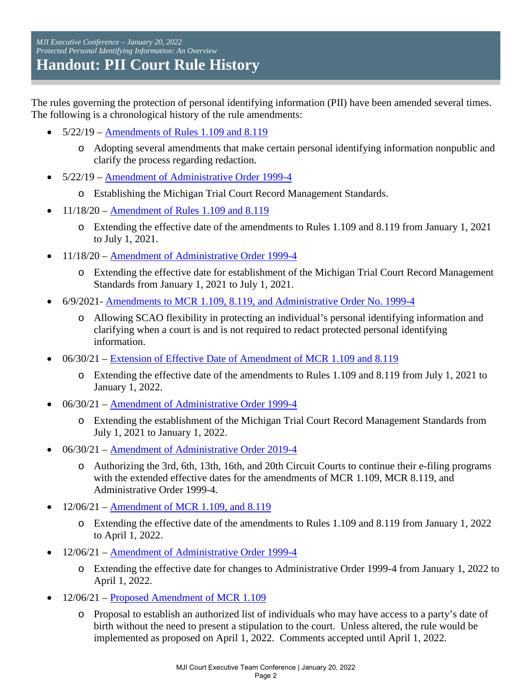<span id="page-1-0"></span>*MJI Executive Conference – January 20, 2022 Protected Personal Identifying Information: An Overview*  **Handout: PII Court Rule History** 

The rules governing the protection of personal identifying information (PII) have been amended several times. The following is a chronological history of the rule amendments:

- $5/22/19$  Amendments of Rules 1.109 and 8.119
	- o Adopting several amendments that make certain personal identifying information nonpublic and clarify the process regarding redaction.
- 5/22/19 – [Amendment of Administrative Order 1999-4](https://www.courts.michigan.gov/4a5177/siteassets/rules-instructions-administrative-orders/proposed-and-recently-adopted-orders-on-admin-matters/adopted-orders/2017-28_2019-05-22_formattedorder_ao1999-4.pdf) 
	- o Establishing the Michigan Trial Court Record Management Standards.
- 11/18/20 – [Amendment of Rules 1.109 and 8.119](https://www.courts.michigan.gov/4a51b7/siteassets/rules-instructions-administrative-orders/proposed-and-recently-adopted-orders-on-admin-matters/adopted-orders/2017-28_2020-11-18_formattedorder_amendtofmcr1.109.pdf) 
	- o Extending the effective date of the amendments to Rules 1.109 and 8.119 from January 1, 2021 to July 1, 2021.
- 11/18/20 Amendment of Administrative Order 1999-4
	- o Extending the effective date for establishment of the Michigan Trial Court Record Management Standards from January 1, 2021 to July 1, 2021.
- 6/9/2021- [Amendments to MCR 1.109, 8.119, and Administrative Order No. 1999-4](https://www.courts.michigan.gov/4a4f29/siteassets/rules-instructions-administrative-orders/proposed-and-recently-adopted-orders-on-admin-matters/adopted-orders/2020-26_2021-06-09_formattedorder_amendtofmcr1.109-8.119.pdf) 
	- o Allowing SCAO flexibility in protecting an individual's personal identifying information and clarifying when a court is and is not required to redact protected personal identifying information.
- 06/30/21 – [Extension of Effective Date of Amendment of MCR 1.109 and 8.119](https://www.courts.michigan.gov/4a4f82/siteassets/rules-instructions-administrative-orders/proposed-and-recently-adopted-orders-on-admin-matters/adopted-orders/2017-28_2021-06-30_formattedorder_extofmcr1.109-8.119.pdf) 
	- o Extending the effective date of the amendments to Rules 1.109 and 8.119 from July 1, 2021 to January 1, 2022.
- 06/30/21 – [Amendment of Administrative Order 1999-4](https://www.courts.michigan.gov/4a51e9/siteassets/rules-instructions-administrative-orders/proposed-and-recently-adopted-orders-on-admin-matters/adopted-orders/2017-28_2021-06-30_formattedorder_extofao1999-4.pdf)
	- o Extending the establishment of the Michigan Trial Court Record Management Standards from July 1, 2021 to January 1, 2022.
- 06/30/21 – [Amendment of Administrative Order 2019-4](https://www.courts.michigan.gov/4a51e5/siteassets/rules-instructions-administrative-orders/proposed-and-recently-adopted-orders-on-admin-matters/adopted-orders/2017-28_2021-06-30_formattedorder_amendtofao2019-4.pdf) 
	- o Authorizing the 3rd, 6th, 13th, 16th, and 20th Circuit Courts to continue their e-filing programs with the extended effective dates for the amendments of MCR 1.109, MCR 8.119, and Administrative Order 1999-4.
- $12/06/21$  – [Amendment of MCR 1.109, and 8.119](https://www.courts.michigan.gov/4addec/siteassets/rules-instructions-administrative-orders/proposed-and-recently-adopted-orders-on-admin-matters/adopted-orders/2020-26_2021-12-06_formattedorder_extofeffdatemcr1.109-8.119.pdf)
	- o Extending the effective date of the amendments to Rules 1.109 and 8.119 from January 1, 2022 to April 1, 2022.
- 12/06/21 – [Amendment of Administrative Order 1999-4](https://www.courts.michigan.gov/4ae330/siteassets/rules-instructions-administrative-orders/proposed-and-recently-adopted-orders-on-admin-matters/adopted-orders/2017-28_2021-12-06_formattedorder_extofeffdateao1999-4.pdfhttps:/www.courts.michigan.gov/4ae330/siteassets/rules-instructions-administrative-orders/proposed-and-recently-adopted-orders-on-admin-matters/adopted-orders/2017-28_2021-12-06_formattedorder_extofeffdateao1999-4.pdf)
	- o Extending the effective date for changes to Administrative Order 1999-4 from January 1, 2022 to April 1, 2022.
- 12/06/21 – [Proposed Amendment of MCR 1.109](https://www.courts.michigan.gov/4ae320/siteassets/rules-instructions-administrative-orders/proposed-and-recently-adopted-orders-on-admin-matters/adopted-orders/2017-28_2021-12-06_formattedorder_amendtofmcr1.109.pdf)
	- o Proposal to establish an authorized list of individuals who may have access to a party's date of birth without the need to present a stipulation to the court. Unless altered, the rule would be implemented as proposed on April 1, 2022. Comments accepted until April 1, 2022.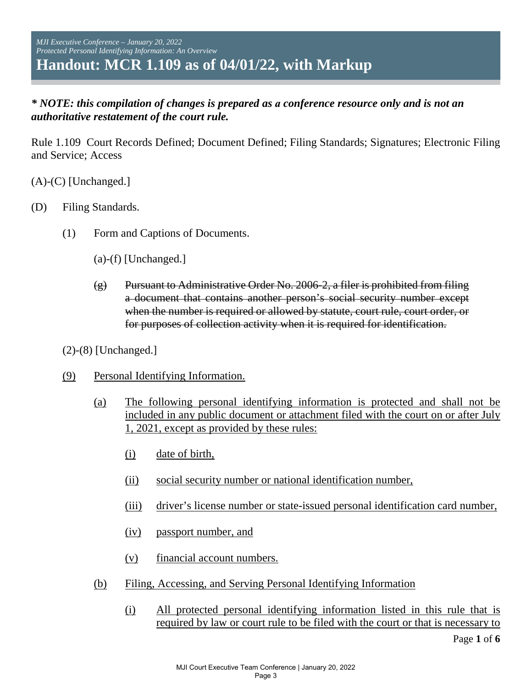### <span id="page-2-0"></span>*\* NOTE: this compilation of changes is prepared as a conference resource only and is not an authoritative restatement of the court rule.*

Rule 1.109 Court Records Defined; Document Defined; Filing Standards; Signatures; Electronic Filing and Service; Access

(A)-(C) [Unchanged.]

- (D) Filing Standards.
	- (1) Form and Captions of Documents.
		- (a)-(f) [Unchanged.]
		- $(g)$  Pursuant to Administrative Order No. 2006-2, a filer is prohibited from filing a document that contains another person's social security number except when the number is required or allowed by statute, court rule, court order, or for purposes of collection activity when it is required for identification.
	- (2)-(8) [Unchanged.]
	- (9) Personal Identifying Information.
		- (a) The following personal identifying information is protected and shall not be included in any public document or attachment filed with the court on or after July 1, 2021, except as provided by these rules:
			- (i) date of birth,
			- (ii) social security number or national identification number,
			- (iii) driver's license number or state-issued personal identification card number,
			- (iv) passport number, and
			- (v) financial account numbers.
		- (b) Filing, Accessing, and Serving Personal Identifying Information
			- (i) All protected personal identifying information listed in this rule that is required by law or court rule to be filed with the court or that is necessary to

Page **1** of **6**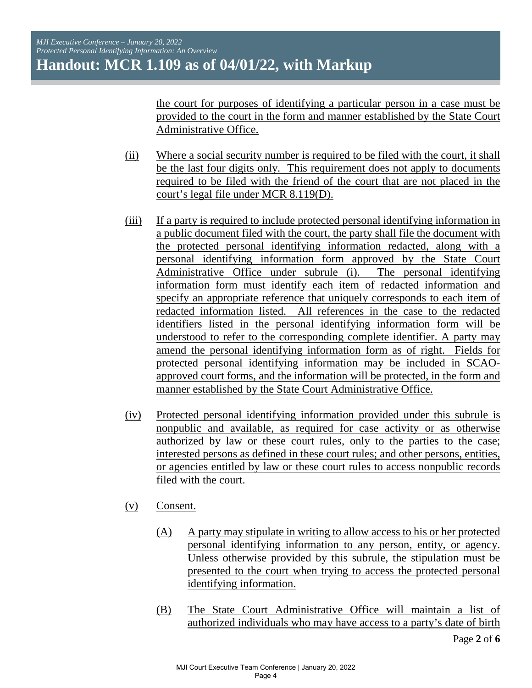the court for purposes of identifying a particular person in a case must be provided to the court in the form and manner established by the State Court Administrative Office.

- (ii) Where a social security number is required to be filed with the court, it shall be the last four digits only. This requirement does not apply to documents required to be filed with the friend of the court that are not placed in the court's legal file under MCR 8.119(D).
- (iii) If a party is required to include protected personal identifying information in a public document filed with the court, the party shall file the document with the protected personal identifying information redacted, along with a personal identifying information form approved by the State Court Administrative Office under subrule (i). The personal identifying information form must identify each item of redacted information and specify an appropriate reference that uniquely corresponds to each item of redacted information listed. All references in the case to the redacted identifiers listed in the personal identifying information form will be understood to refer to the corresponding complete identifier. A party may amend the personal identifying information form as of right. Fields for protected personal identifying information may be included in SCAOapproved court forms, and the information will be protected, in the form and manner established by the State Court Administrative Office.
- (iv) Protected personal identifying information provided under this subrule is nonpublic and available, as required for case activity or as otherwise authorized by law or these court rules, only to the parties to the case; interested persons as defined in these court rules; and other persons, entities, or agencies entitled by law or these court rules to access nonpublic records filed with the court.
- (v) Consent.
	- (A) A party may stipulate in writing to allow access to his or her protected personal identifying information to any person, entity, or agency. Unless otherwise provided by this subrule, the stipulation must be presented to the court when trying to access the protected personal identifying information.
	- (B) The State Court Administrative Office will maintain a list of authorized individuals who may have access to a party's date of birth

Page **2** of **6**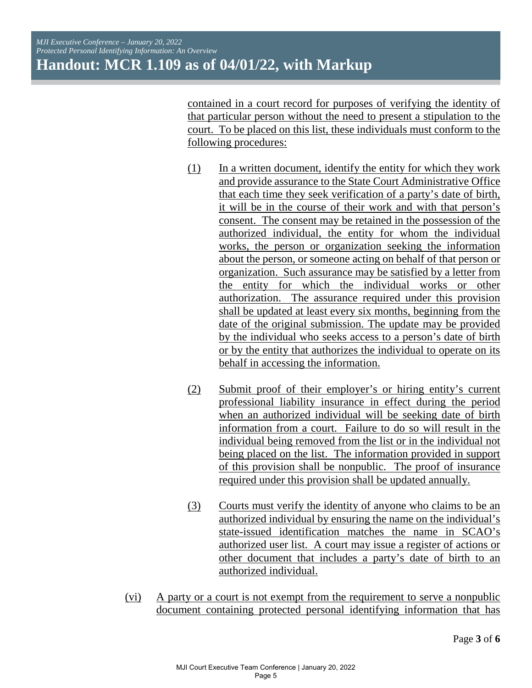contained in a court record for purposes of verifying the identity of that particular person without the need to present a stipulation to the court. To be placed on this list, these individuals must conform to the following procedures:

- (1) In a written document, identify the entity for which they work and provide assurance to the State Court Administrative Office that each time they seek verification of a party's date of birth, it will be in the course of their work and with that person's consent. The consent may be retained in the possession of the authorized individual, the entity for whom the individual works, the person or organization seeking the information about the person, or someone acting on behalf of that person or organization. Such assurance may be satisfied by a letter from the entity for which the individual works or other authorization. The assurance required under this provision shall be updated at least every six months, beginning from the date of the original submission. The update may be provided by the individual who seeks access to a person's date of birth or by the entity that authorizes the individual to operate on its behalf in accessing the information.
- (2) Submit proof of their employer's or hiring entity's current professional liability insurance in effect during the period when an authorized individual will be seeking date of birth information from a court. Failure to do so will result in the individual being removed from the list or in the individual not being placed on the list. The information provided in support of this provision shall be nonpublic. The proof of insurance required under this provision shall be updated annually.
- (3) Courts must verify the identity of anyone who claims to be an authorized individual by ensuring the name on the individual's state-issued identification matches the name in SCAO's authorized user list. A court may issue a register of actions or other document that includes a party's date of birth to an authorized individual.
- (vi) A party or a court is not exempt from the requirement to serve a nonpublic document containing protected personal identifying information that has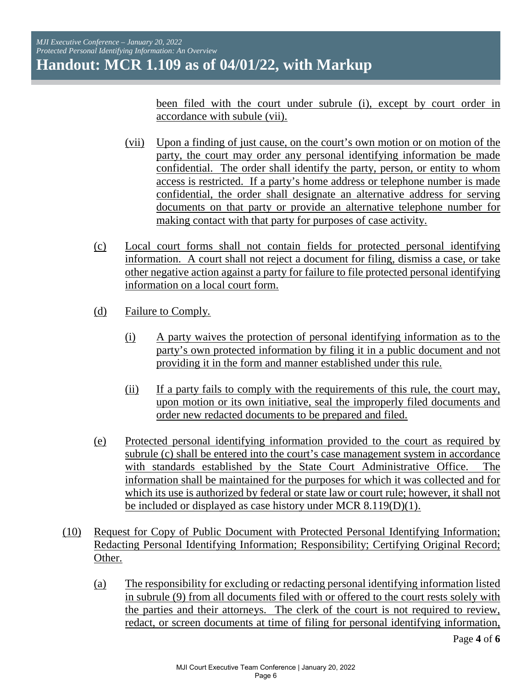been filed with the court under subrule (i), except by court order in accordance with subule (vii).

- (vii) Upon a finding of just cause, on the court's own motion or on motion of the party, the court may order any personal identifying information be made confidential. The order shall identify the party, person, or entity to whom access is restricted. If a party's home address or telephone number is made confidential, the order shall designate an alternative address for serving documents on that party or provide an alternative telephone number for making contact with that party for purposes of case activity.
- (c) Local court forms shall not contain fields for protected personal identifying information. A court shall not reject a document for filing, dismiss a case, or take other negative action against a party for failure to file protected personal identifying information on a local court form.
- (d) Failure to Comply*.* 
	- (i) A party waives the protection of personal identifying information as to the party's own protected information by filing it in a public document and not providing it in the form and manner established under this rule.
	- (ii) If a party fails to comply with the requirements of this rule, the court may, upon motion or its own initiative, seal the improperly filed documents and order new redacted documents to be prepared and filed.
- (e) Protected personal identifying information provided to the court as required by subrule (c) shall be entered into the court's case management system in accordance with standards established by the State Court Administrative Office. The information shall be maintained for the purposes for which it was collected and for which its use is authorized by federal or state law or court rule; however, it shall not be included or displayed as case history under MCR 8.119(D)(1).
- (10) Request for Copy of Public Document with Protected Personal Identifying Information; Redacting Personal Identifying Information; Responsibility; Certifying Original Record; Other.
	- (a) The responsibility for excluding or redacting personal identifying information listed in subrule (9) from all documents filed with or offered to the court rests solely with the parties and their attorneys. The clerk of the court is not required to review, redact, or screen documents at time of filing for personal identifying information,

Page **4** of **6**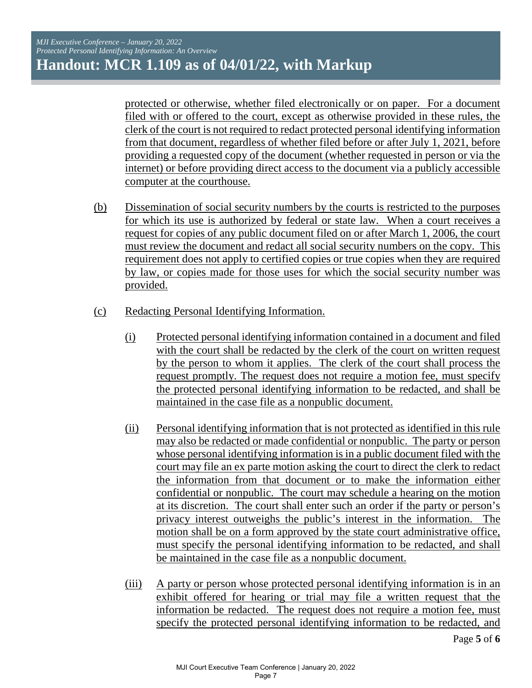protected or otherwise, whether filed electronically or on paper. For a document filed with or offered to the court, except as otherwise provided in these rules, the clerk of the court is not required to redact protected personal identifying information from that document, regardless of whether filed before or after July 1, 2021, before providing a requested copy of the document (whether requested in person or via the internet) or before providing direct access to the document via a publicly accessible computer at the courthouse.

- (b) Dissemination of social security numbers by the courts is restricted to the purposes for which its use is authorized by federal or state law. When a court receives a request for copies of any public document filed on or after March 1, 2006, the court must review the document and redact all social security numbers on the copy. This requirement does not apply to certified copies or true copies when they are required by law, or copies made for those uses for which the social security number was provided.
- (c) Redacting Personal Identifying Information.
	- (i) Protected personal identifying information contained in a document and filed with the court shall be redacted by the clerk of the court on written request by the person to whom it applies. The clerk of the court shall process the request promptly. The request does not require a motion fee, must specify the protected personal identifying information to be redacted, and shall be maintained in the case file as a nonpublic document.
	- (ii) Personal identifying information that is not protected as identified in this rule may also be redacted or made confidential or nonpublic. The party or person whose personal identifying information is in a public document filed with the court may file an ex parte motion asking the court to direct the clerk to redact the information from that document or to make the information either confidential or nonpublic. The court may schedule a hearing on the motion at its discretion. The court shall enter such an order if the party or person's privacy interest outweighs the public's interest in the information. The motion shall be on a form approved by the state court administrative office, must specify the personal identifying information to be redacted, and shall be maintained in the case file as a nonpublic document.
	- (iii) A party or person whose protected personal identifying information is in an exhibit offered for hearing or trial may file a written request that the information be redacted. The request does not require a motion fee, must specify the protected personal identifying information to be redacted, and

Page **5** of **6**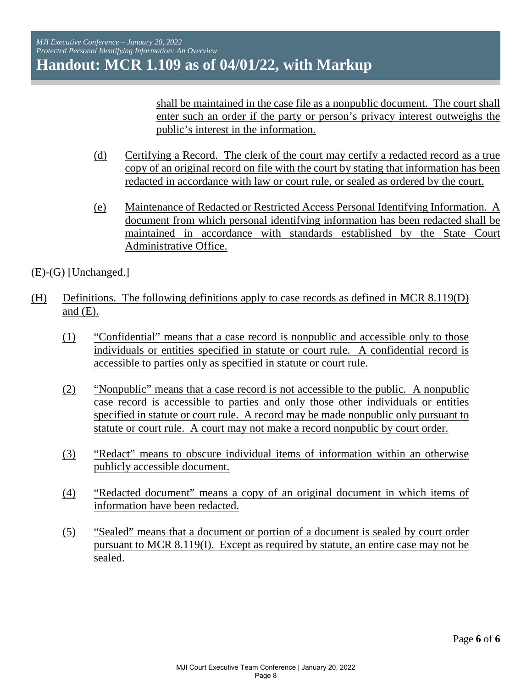shall be maintained in the case file as a nonpublic document. The court shall enter such an order if the party or person's privacy interest outweighs the public's interest in the information.

- (d) Certifying a Record. The clerk of the court may certify a redacted record as a true copy of an original record on file with the court by stating that information has been redacted in accordance with law or court rule, or sealed as ordered by the court.
- (e) Maintenance of Redacted or Restricted Access Personal Identifying Information. A document from which personal identifying information has been redacted shall be maintained in accordance with standards established by the State Court Administrative Office.

(E)-(G) [Unchanged.]

- (H) Definitions. The following definitions apply to case records as defined in MCR 8.119(D) and  $(E)$ .
	- (1) "Confidential" means that a case record is nonpublic and accessible only to those individuals or entities specified in statute or court rule. A confidential record is accessible to parties only as specified in statute or court rule.
	- (2) "Nonpublic" means that a case record is not accessible to the public. A nonpublic case record is accessible to parties and only those other individuals or entities specified in statute or court rule. A record may be made nonpublic only pursuant to statute or court rule. A court may not make a record nonpublic by court order.
	- (3) "Redact" means to obscure individual items of information within an otherwise publicly accessible document.
	- (4) "Redacted document" means a copy of an original document in which items of information have been redacted.
	- (5) "Sealed" means that a document or portion of a document is sealed by court order pursuant to MCR 8.119(I). Except as required by statute, an entire case may not be sealed.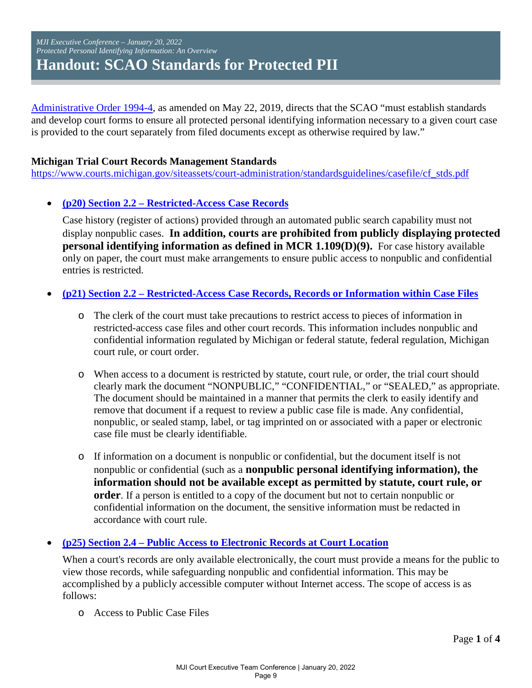#### <span id="page-8-0"></span>*MJI Executive Conference – January 20, 2022 Protected Personal Identifying Information: An Overview*  **Handout: SCAO Standards for Protected PII**

[Administrative Order 1994-4,](https://www.courts.michigan.gov/4a5177/siteassets/rules-instructions-administrative-orders/proposed-and-recently-adopted-orders-on-admin-matters/adopted-orders/2017-28_2019-05-22_formattedorder_ao1999-4.pdf) as amended on May 22, 2019, directs that the SCAO "must establish standards and develop court forms to ensure all protected personal identifying information necessary to a given court case is provided to the court separately from filed documents except as otherwise required by law."

#### **Michigan Trial Court Records Management Standards**

[https://www.courts.michigan.gov/siteassets/court-administration/standardsguidelines/casefile/cf\\_stds.pdf](https://www.courts.michigan.gov/siteassets/court-administration/standardsguidelines/casefile/cf_stds.pdf) 

#### • **[\(p20\) Section 2.2 – Restricted-Access Case Records](https://www.courts.michigan.gov/siteassets/court-administration/standardsguidelines/casefile/cf_stds.pdf#page=20)**

Case history (register of actions) provided through an automated public search capability must not display nonpublic cases. **In addition, courts are prohibited from publicly displaying protected personal identifying information as defined in MCR 1.109(D)(9).** For case history available only on paper, the court must make arrangements to ensure public access to nonpublic and confidential entries is restricted.

#### • **[\(p21\) Section 2.2 – Restricted-Access Case Records, Records or Information within Case Files](https://www.courts.michigan.gov/siteassets/court-administration/standardsguidelines/casefile/cf_stds.pdf#page=21)**

- o The clerk of the court must take precautions to restrict access to pieces of information in restricted-access case files and other court records. This information includes nonpublic and confidential information regulated by Michigan or federal statute, federal regulation, Michigan court rule, or court order.
- o When access to a document is restricted by statute, court rule, or order, the trial court should clearly mark the document "NONPUBLIC," "CONFIDENTIAL," or "SEALED," as appropriate. The document should be maintained in a manner that permits the clerk to easily identify and remove that document if a request to review a public case file is made. Any confidential, nonpublic, or sealed stamp, label, or tag imprinted on or associated with a paper or electronic case file must be clearly identifiable.
- o If information on a document is nonpublic or confidential, but the document itself is not nonpublic or confidential (such as a **nonpublic personal identifying information), the information should not be available except as permitted by statute, court rule, or order**. If a person is entitled to a copy of the document but not to certain nonpublic or confidential information on the document, the sensitive information must be redacted in accordance with court rule.

#### • **(p25) Section 2.4 – Public [Access to Electronic Records at Court Location](https://www.courts.michigan.gov/siteassets/court-administration/standardsguidelines/casefile/cf_stds.pdf#page=25)**

When a court's records are only available electronically, the court must provide a means for the public to view those records, while safeguarding nonpublic and confidential information. This may be accomplished by a publicly accessible computer without Internet access. The scope of access is as follows:

o Access to Public Case Files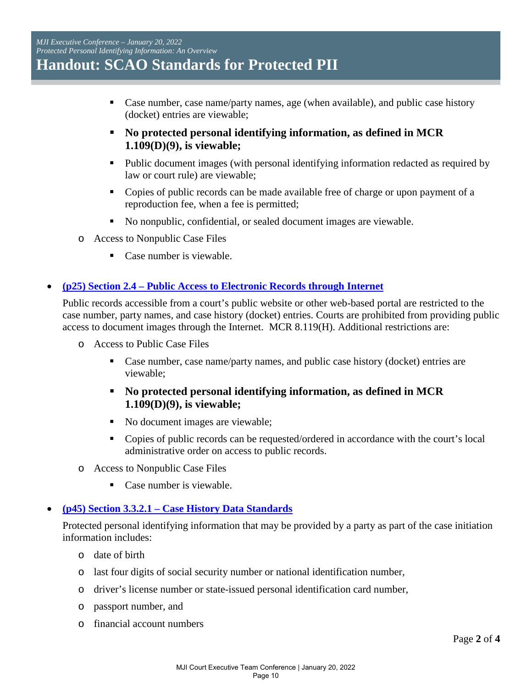- Case number, case name/party names, age (when available), and public case history (docket) entries are viewable;
- **No protected personal identifying information, as defined in MCR 1.109(D)(9), is viewable;**
- Public document images (with personal identifying information redacted as required by law or court rule) are viewable;
- Copies of public records can be made available free of charge or upon payment of a reproduction fee, when a fee is permitted;
- No nonpublic, confidential, or sealed document images are viewable.
- o Access to Nonpublic Case Files
	- Case number is viewable.

#### • **[\(p25\) Section 2.4 – Public Access to Electronic Records through Internet](https://www.courts.michigan.gov/siteassets/court-administration/standardsguidelines/casefile/cf_stds.pdf#page=25)**

Public records accessible from a court's public website or other web-based portal are restricted to the case number, party names, and case history (docket) entries. Courts are prohibited from providing public access to document images through the Internet. MCR 8.119(H). Additional restrictions are:

- o Access to Public Case Files
	- Case number, case name/party names, and public case history (docket) entries are viewable;
	- **No protected personal identifying information, as defined in MCR 1.109(D)(9), is viewable;**
	- No document images are viewable;
	- Copies of public records can be requested/ordered in accordance with the court's local administrative order on access to public records.
- o Access to Nonpublic Case Files
	- Case number is viewable.

#### • **[\(p45\) Section 3.3.2.1 – Case History Data Standards](https://www.courts.michigan.gov/siteassets/court-administration/standardsguidelines/casefile/cf_stds.pdf#page=45)**

Protected personal identifying information that may be provided by a party as part of the case initiation information includes:

- o date of birth
- o last four digits of social security number or national identification number,
- o driver's license number or state-issued personal identification card number,
- o passport number, and
- o financial account numbers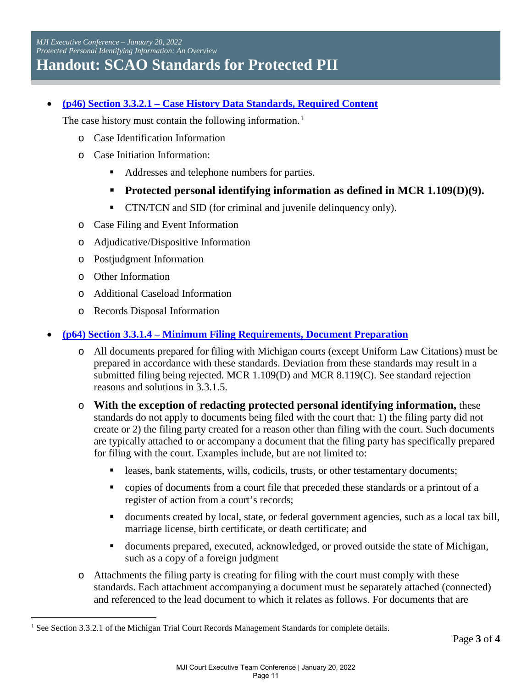*MJI Executive Conference – January 20, 2022 Protected Personal Identifying Information: An Overview*  **Handout: SCAO Standards for Protected PII**

• **[\(p46\) Section 3.3.2.1 – Case History Data Standards, Required Content](https://www.courts.michigan.gov/siteassets/court-administration/standardsguidelines/casefile/cf_stds.pdf#page=46)**

The case history must contain the following information.<sup>[1](#page-10-0)</sup>

- o Case Identification Information
- o Case Initiation Information:
	- Addresses and telephone numbers for parties.
	- **Protected personal identifying information as defined in MCR 1.109(D)(9).**
	- CTN/TCN and SID (for criminal and juvenile delinquency only).
- o Case Filing and Event Information
- o Adjudicative/Dispositive Information
- o Postjudgment Information
- o Other Information

 $\overline{a}$ 

- o Additional Caseload Information
- o Records Disposal Information

#### • **[\(p64\) Section 3.3.1.4 – Minimum Filing Requirements, Document Preparation](https://www.courts.michigan.gov/siteassets/court-administration/standardsguidelines/casefile/cf_stds.pdf#page=64)**

- o All documents prepared for filing with Michigan courts (except Uniform Law Citations) must be prepared in accordance with these standards. Deviation from these standards may result in a submitted filing being rejected. MCR 1.109(D) and MCR 8.119(C). See standard rejection reasons and solutions in 3.3.1.5.
- o **With the exception of redacting protected personal identifying information,** these standards do not apply to documents being filed with the court that: 1) the filing party did not create or 2) the filing party created for a reason other than filing with the court. Such documents are typically attached to or accompany a document that the filing party has specifically prepared for filing with the court. Examples include, but are not limited to:
	- leases, bank statements, wills, codicils, trusts, or other testamentary documents;
	- copies of documents from a court file that preceded these standards or a printout of a register of action from a court's records;
	- documents created by local, state, or federal government agencies, such as a local tax bill, marriage license, birth certificate, or death certificate; and
	- documents prepared, executed, acknowledged, or proved outside the state of Michigan, such as a copy of a foreign judgment
- o Attachments the filing party is creating for filing with the court must comply with these standards. Each attachment accompanying a document must be separately attached (connected) and referenced to the lead document to which it relates as follows. For documents that are

<span id="page-10-0"></span><sup>&</sup>lt;sup>1</sup> See Section 3.3.2.1 of the Michigan Trial Court Records Management Standards for complete details.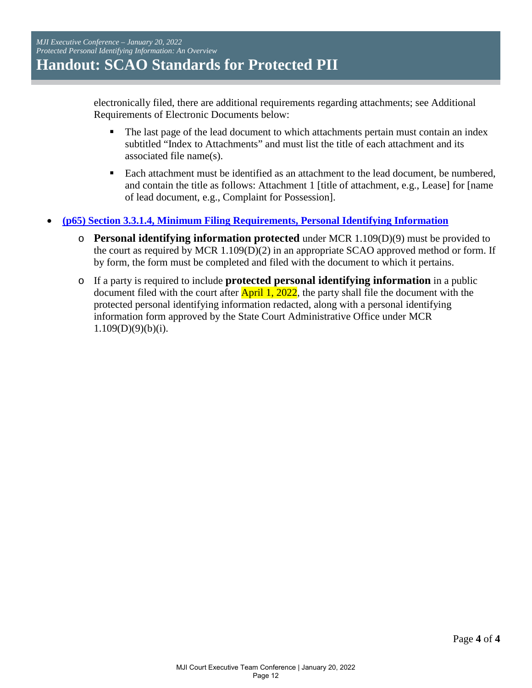electronically filed, there are additional requirements regarding attachments; see Additional Requirements of Electronic Documents below:

- The last page of the lead document to which attachments pertain must contain an index subtitled "Index to Attachments" and must list the title of each attachment and its associated file name(s).
- Each attachment must be identified as an attachment to the lead document, be numbered, and contain the title as follows: Attachment 1 [title of attachment, e.g., Lease] for [name of lead document, e.g., Complaint for Possession].
- **[\(p65\) Section 3.3.1.4, Minimum Filing Requirements, Personal Identifying Information](https://www.courts.michigan.gov/siteassets/court-administration/standardsguidelines/casefile/cf_stds.pdf#page=65)** 
	- o **Personal identifying information protected** under MCR 1.109(D)(9) must be provided to the court as required by MCR 1.109(D)(2) in an appropriate SCAO approved method or form. If by form, the form must be completed and filed with the document to which it pertains.
	- o If a party is required to include **protected personal identifying information** in a public document filed with the court after  $\text{April 1, 2022}$ , the party shall file the document with the protected personal identifying information redacted, along with a personal identifying information form approved by the State Court Administrative Office under MCR  $1.109(D)(9)(b)(i)$ .